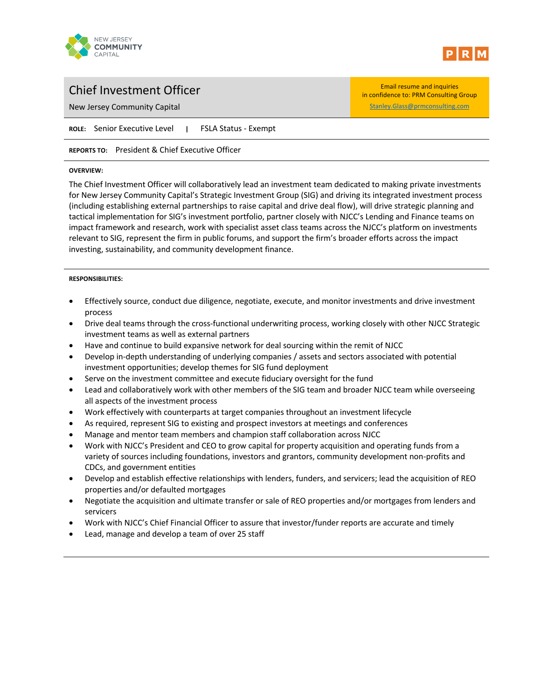



in confidence to: PRM Consulting Group

# Chief Investment Officer **Email resume and inquiries**

New Jersey Community Capital Stanley.Glass@prmconsulting.com

**ROLE:** Senior Executive Level **|** FSLA Status - Exempt

**REPORTS TO:** President & Chief Executive Officer

# **OVERVIEW:**

The Chief Investment Officer will collaboratively lead an investment team dedicated to making private investments for New Jersey Community Capital's Strategic Investment Group (SIG) and driving its integrated investment process (including establishing external partnerships to raise capital and drive deal flow), will drive strategic planning and tactical implementation for SIG's investment portfolio, partner closely with NJCC's Lending and Finance teams on impact framework and research, work with specialist asset class teams across the NJCC's platform on investments relevant to SIG, represent the firm in public forums, and support the firm's broader efforts across the impact investing, sustainability, and community development finance.

# **RESPONSIBILITIES:**

- Effectively source, conduct due diligence, negotiate, execute, and monitor investments and drive investment process
- Drive deal teams through the cross-functional underwriting process, working closely with other NJCC Strategic investment teams as well as external partners
- Have and continue to build expansive network for deal sourcing within the remit of NJCC
- Develop in-depth understanding of underlying companies / assets and sectors associated with potential investment opportunities; develop themes for SIG fund deployment
- Serve on the investment committee and execute fiduciary oversight for the fund
- Lead and collaboratively work with other members of the SIG team and broader NJCC team while overseeing all aspects of the investment process
- Work effectively with counterparts at target companies throughout an investment lifecycle
- As required, represent SIG to existing and prospect investors at meetings and conferences
- Manage and mentor team members and champion staff collaboration across NJCC
- Work with NJCC's President and CEO to grow capital for property acquisition and operating funds from a variety of sources including foundations, investors and grantors, community development non-profits and CDCs, and government entities
- Develop and establish effective relationships with lenders, funders, and servicers; lead the acquisition of REO properties and/or defaulted mortgages
- Negotiate the acquisition and ultimate transfer or sale of REO properties and/or mortgages from lenders and servicers
- Work with NJCC's Chief Financial Officer to assure that investor/funder reports are accurate and timely
- Lead, manage and develop a team of over 25 staff